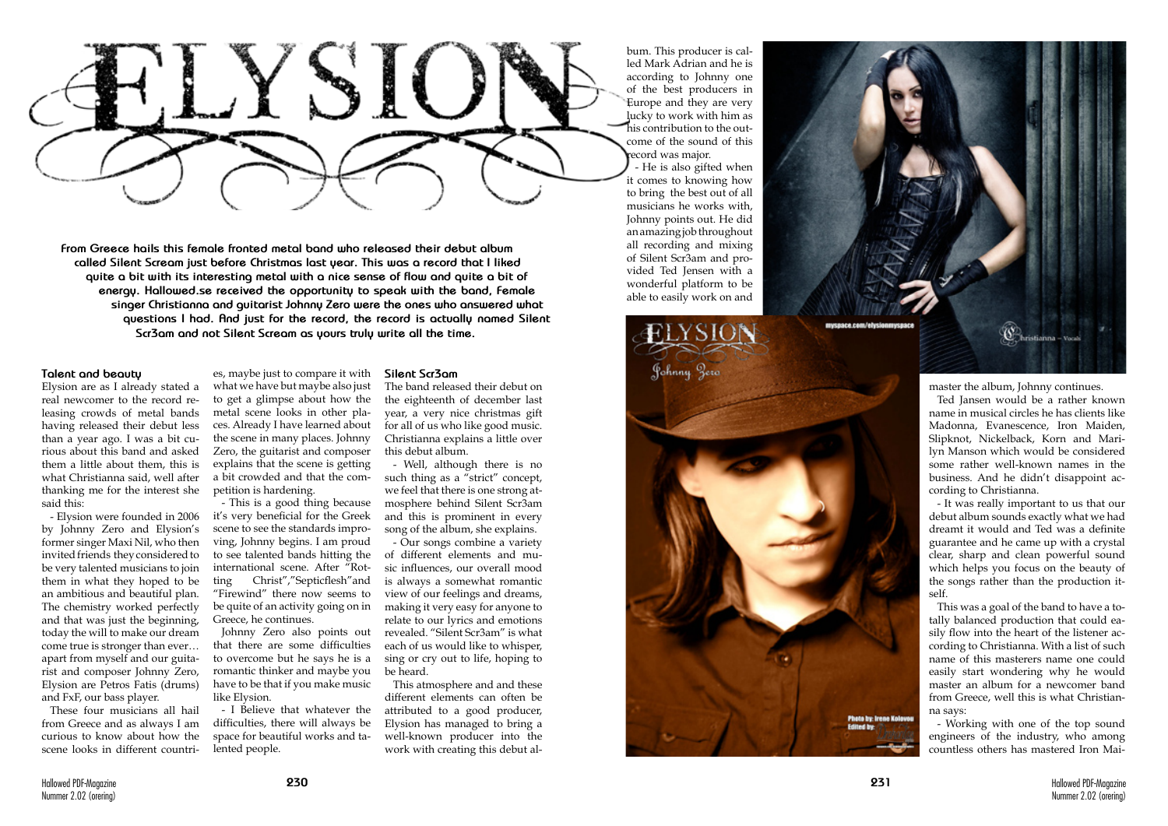Photo by: Irene Kolovou



**From Greece hails this female fronted metal band who released their debut album called Silent Scream just before Christmas last year. This was a record that I liked quite a bit with its interesting metal with a nice sense of flow and quite a bit of energy. Hallowed.se received the opportunity to speak with the band, Female singer Christianna and guitarist Johnny Zero were the ones who answered what questions I had. And just for the record, the record is actually named Silent Scr3am and not Silent Scream as yours truly write all the time.**

### **Talent and beauty**

Elysion are as I already stated a real newcomer to the record re leasing crowds of metal bands having released their debut less than a year ago. I was a bit cu rious about this band and asked them a little about them, this is what Christianna said, well after thanking me for the interest she said this:

- Elysion were founded in 2006 by Johnny Zero and Elysion's former singer Maxi Nil, who then invited friends they considered to be very talented musicians to join them in what they hoped to be an ambitious and beautiful plan. The chemistry worked perfectly and that was just the beginning, today the will to make our dream come true is stronger than ever… apart from myself and our guita rist and composer Johnny Zero, Elysion are Petros Fatis (drums) and FxF, our bass player.

These four musicians all hail from Greece and as always I am curious to know about how the scene looks in different countri -

es, maybe just to compare it with what we have but maybe also just to get a glimpse about how the metal scene looks in other pla ces. Already I have learned about the scene in many places. Johnny Zero, the guitarist and composer explains that the scene is getting a bit crowded and that the com petition is hardening.

- This is a good thing because it's very beneficial for the Greek scene to see the standards impro ving, Johnny begins. I am proud to see talented bands hitting the international scene. After "Rot ting Christ","Septicflesh"and "Firewind" there now seems to be quite of an activity going on in Greece, he continues.

Johnny Zero also points out that there are some difficulties to overcome but he says he is a romantic thinker and maybe you have to be that if you make music like Elysion.

- I Believe that whatever the difficulties, there will always be space for beautiful works and ta lented people.

#### **Silent Scr3am**

The band released their debut on the eighteenth of december last year, a very nice christmas gift for all of us who like good music. Christianna explains a little over this debut album.

- Well, although there is no such thing as a "strict" concept, we feel that there is one strong at mosphere behind Silent Scr3am and this is prominent in every song of the album, she explains.

- Our songs combine a variety of different elements and mu sic influences, our overall mood is always a somewhat romantic view of our feelings and dreams, making it very easy for anyone to relate to our lyrics and emotions revealed. "Silent Scr3am" is what each of us would like to whisper, sing or cry out to life, hoping to be heard.

This atmosphere and and these different elements can often be attributed to a good producer, Elysion has managed to bring a well-known producer into the work with creating this debut al -

bum. This producer is cal led Mark Adrian and he is according to Johnny one of the best producers in Europe and they are very lucky to work with him as his contribution to the out come of the sound of this record was major.

- He is also gifted when it comes to knowing how to bring the best out of all musicians he works with, Johnny points out. He did an amazing job throughout all recording and mixing of Silent Scr3am and pro vided Ted Jensen with a wonderful platform to be able to easily work on and

Johnny Jero

mystace com/elys

master the album, Johnny continues.

Ted Jansen would be a rather known name in musical circles he has clients like Madonna, Evanescence, Iron Maiden, Slipknot, Nickelback, Korn and Mari lyn Manson which would be considered some rather well-known names in the business. And he didn't disappoint ac cording to Christianna.

<sup>*S*</sub> hristianna</sup>

- It was really important to us that our debut album sounds exactly what we had dreamt it would and Ted was a definite guarantee and he came up with a crystal clear, sharp and clean powerful sound which helps you focus on the beauty of the songs rather than the production it self.

This was a goal of the band to have a to tally balanced production that could ea sily flow into the heart of the listener according to Christianna. With a list of such name of this masterers name one could easily start wondering why he would master an album for a newcomer band from Greece, well this is what Christian na says:

- Working with one of the top sound engineers of the industry, who among countless others has mastered Iron Mai -